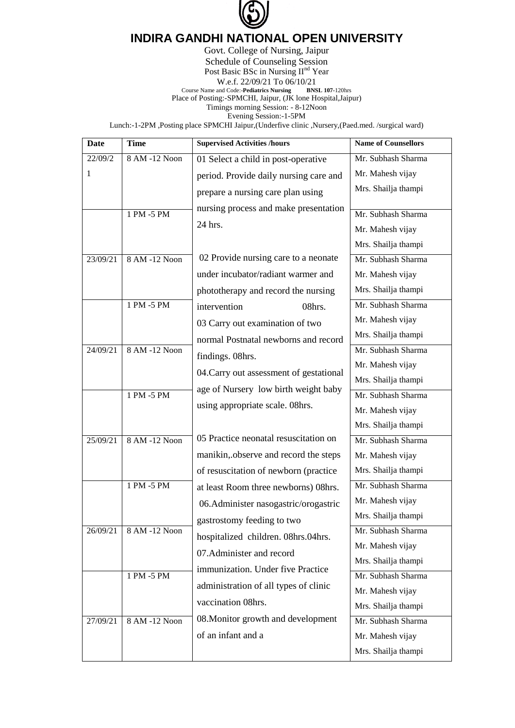

## **INDIRA GANDHI NATIONAL OPEN UNIVERSITY**

Govt. College of Nursing, Jaipur Schedule of Counseling Session Post Basic BSc in Nursing II<sup>nd</sup> Year W.e.f.  $22/09/21$  To  $06/10/21$ <br>and Code:-**Pediatrics Nursing** BNSL 107-120hrs **Course Name and Code:-Pediatrics Nursing** Place of Posting:-SPMCHI, Jaipur, (JK lone Hospital,Jaipur) Timings morning Session: - 8-12Noon Evening Session:-1-5PM

Lunch:-1-2PM ,Posting place SPMCHI Jaipur,(Underfive clinic ,Nursery,(Paed.med. /surgical ward)

| <b>Date</b> | <b>Time</b>   | <b>Supervised Activities /hours</b>     | <b>Name of Counsellors</b> |
|-------------|---------------|-----------------------------------------|----------------------------|
| 22/09/2     | 8 AM -12 Noon | 01 Select a child in post-operative     | Mr. Subhash Sharma         |
| 1           |               | period. Provide daily nursing care and  | Mr. Mahesh vijay           |
|             |               | prepare a nursing care plan using       | Mrs. Shailja thampi        |
|             | 1 PM -5 PM    | nursing process and make presentation   | Mr. Subhash Sharma         |
|             |               | 24 hrs.                                 | Mr. Mahesh vijay           |
|             |               |                                         | Mrs. Shailja thampi        |
| 23/09/21    | 8 AM -12 Noon | 02 Provide nursing care to a neonate    | Mr. Subhash Sharma         |
|             |               | under incubator/radiant warmer and      | Mr. Mahesh vijay           |
|             |               | phototherapy and record the nursing     | Mrs. Shailja thampi        |
|             | 1 PM -5 PM    | intervention<br>08hrs.                  | Mr. Subhash Sharma         |
|             |               | 03 Carry out examination of two         | Mr. Mahesh vijay           |
|             |               | normal Postnatal newborns and record    | Mrs. Shailja thampi        |
| 24/09/21    | 8 AM -12 Noon | findings. 08hrs.                        | Mr. Subhash Sharma         |
|             |               |                                         | Mr. Mahesh vijay           |
|             |               | 04. Carry out assessment of gestational | Mrs. Shailja thampi        |
|             | 1 PM -5 PM    | age of Nursery low birth weight baby    | Mr. Subhash Sharma         |
|             |               | using appropriate scale. 08hrs.         | Mr. Mahesh vijay           |
|             |               |                                         | Mrs. Shailja thampi        |
| 25/09/21    | 8 AM -12 Noon | 05 Practice neonatal resuscitation on   | Mr. Subhash Sharma         |
|             |               | manikin, observe and record the steps   | Mr. Mahesh vijay           |
|             |               | of resuscitation of newborn (practice   | Mrs. Shailja thampi        |
|             | 1 PM -5 PM    | at least Room three newborns) 08hrs.    | Mr. Subhash Sharma         |
|             |               | 06.Administer nasogastric/orogastric    | Mr. Mahesh vijay           |
|             |               | gastrostomy feeding to two              | Mrs. Shailja thampi        |
| 26/09/21    | 8 AM -12 Noon | hospitalized children. 08hrs.04hrs.     | Mr. Subhash Sharma         |
|             |               | 07. Administer and record               | Mr. Mahesh vijay           |
|             |               | immunization. Under five Practice       | Mrs. Shailja thampi        |
|             | 1 PM -5 PM    | administration of all types of clinic   | Mr. Subhash Sharma         |
|             |               | vaccination 08hrs.                      | Mr. Mahesh vijay           |
|             |               | 08. Monitor growth and development      | Mrs. Shailja thampi        |
| 27/09/21    | 8 AM -12 Noon |                                         | Mr. Subhash Sharma         |
|             |               | of an infant and a                      | Mr. Mahesh vijay           |
|             |               |                                         | Mrs. Shailja thampi        |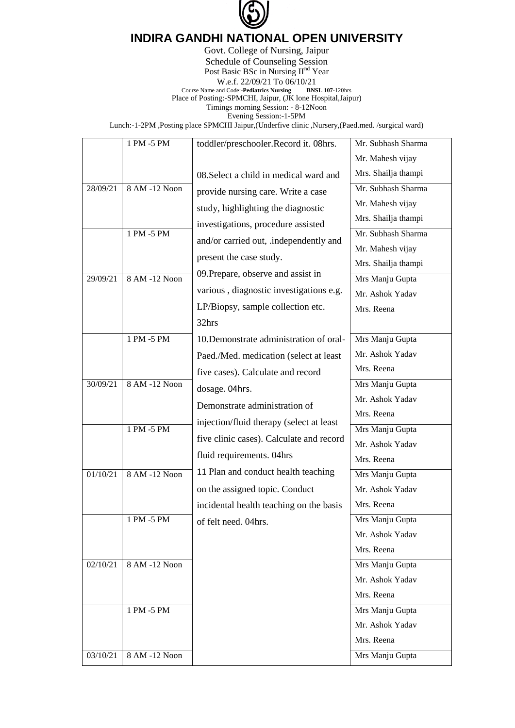

## **INDIRA GANDHI NATIONAL OPEN UNIVERSITY**

Govt. College of Nursing, Jaipur Schedule of Counseling Session Post Basic BSc in Nursing II<sup>nd</sup> Year W.e.f.  $22/09/21$  To  $06/10/21$ <br>and Code:-**Pediatrics Nursing** BNSL 107-120hrs **Course Name and Code:-Pediatrics Nursing** Place of Posting:-SPMCHI, Jaipur, (JK lone Hospital,Jaipur) Timings morning Session: - 8-12Noon Evening Session:-1-5PM

Lunch:-1-2PM ,Posting place SPMCHI Jaipur,(Underfive clinic ,Nursery,(Paed.med. /surgical ward)

|          | 1 PM -5 PM    |                                          | Mr. Subhash Sharma  |
|----------|---------------|------------------------------------------|---------------------|
|          |               | toddler/preschooler.Record it. 08hrs.    |                     |
|          |               |                                          | Mr. Mahesh vijay    |
|          |               | 08. Select a child in medical ward and   | Mrs. Shailja thampi |
| 28/09/21 | 8 AM -12 Noon | provide nursing care. Write a case       | Mr. Subhash Sharma  |
|          |               | study, highlighting the diagnostic       | Mr. Mahesh vijay    |
|          |               | investigations, procedure assisted       | Mrs. Shailja thampi |
|          | 1 PM -5 PM    | and/or carried out, independently and    | Mr. Subhash Sharma  |
|          |               |                                          | Mr. Mahesh vijay    |
|          |               | present the case study.                  | Mrs. Shailja thampi |
| 29/09/21 | 8 AM -12 Noon | 09. Prepare, observe and assist in       | Mrs Manju Gupta     |
|          |               | various, diagnostic investigations e.g.  | Mr. Ashok Yadav     |
|          |               | LP/Biopsy, sample collection etc.        | Mrs. Reena          |
|          |               | 32hrs                                    |                     |
|          | $1$ PM -5 PM  | 10. Demonstrate administration of oral-  | Mrs Manju Gupta     |
|          |               | Paed./Med. medication (select at least   | Mr. Ashok Yadav     |
|          |               | five cases). Calculate and record        | Mrs. Reena          |
| 30/09/21 | 8 AM -12 Noon | dosage. 04hrs.                           | Mrs Manju Gupta     |
|          |               | Demonstrate administration of            | Mr. Ashok Yadav     |
|          |               |                                          | Mrs. Reena          |
|          | $1 PM - 5 PM$ | injection/fluid therapy (select at least | Mrs Manju Gupta     |
|          |               | five clinic cases). Calculate and record | Mr. Ashok Yadav     |
|          |               | fluid requirements. 04hrs                | Mrs. Reena          |
| 01/10/21 | 8 AM -12 Noon | 11 Plan and conduct health teaching      | Mrs Manju Gupta     |
|          |               | on the assigned topic. Conduct           | Mr. Ashok Yadav     |
|          |               | incidental health teaching on the basis  | Mrs. Reena          |
|          | 1 PM -5 PM    | of felt need. 04hrs.                     | Mrs Manju Gupta     |
|          |               |                                          | Mr. Ashok Yadav     |
|          |               |                                          | Mrs. Reena          |
| 02/10/21 | 8 AM -12 Noon |                                          | Mrs Manju Gupta     |
|          |               |                                          | Mr. Ashok Yadav     |
|          |               |                                          | Mrs. Reena          |
|          | 1 PM -5 PM    |                                          | Mrs Manju Gupta     |
|          |               |                                          | Mr. Ashok Yadav     |
|          |               |                                          | Mrs. Reena          |
| 03/10/21 | 8 AM -12 Noon |                                          | Mrs Manju Gupta     |